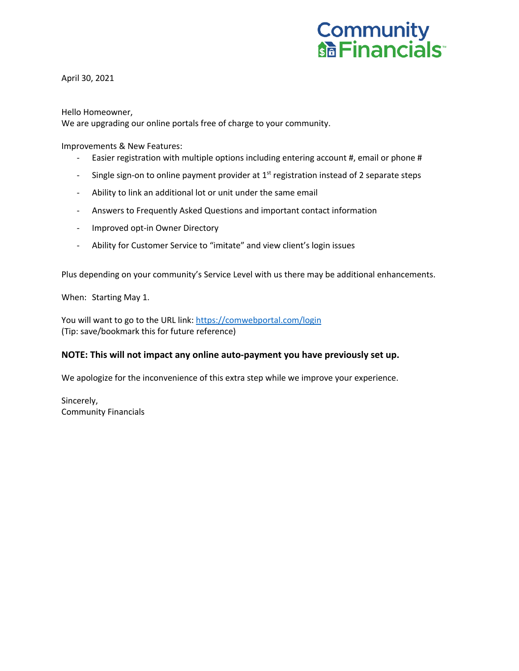

April 30, 2021

Hello Homeowner,

We are upgrading our online portals free of charge to your community.

Improvements & New Features:

- Easier registration with multiple options including entering account #, email or phone #
- Single sign-on to online payment provider at  $1<sup>st</sup>$  registration instead of 2 separate steps
- Ability to link an additional lot or unit under the same email
- Answers to Frequently Asked Questions and important contact information
- Improved opt-in Owner Directory
- Ability for Customer Service to "imitate" and view client's login issues

Plus depending on your community's Service Level with us there may be additional enhancements.

When: Starting May 1.

You will want to go to the URL link: https://comwebportal.com/login (Tip: save/bookmark this for future reference)

### **NOTE: This will not impact any online auto-payment you have previously set up.**

We apologize for the inconvenience of this extra step while we improve your experience.

Sincerely, Community Financials